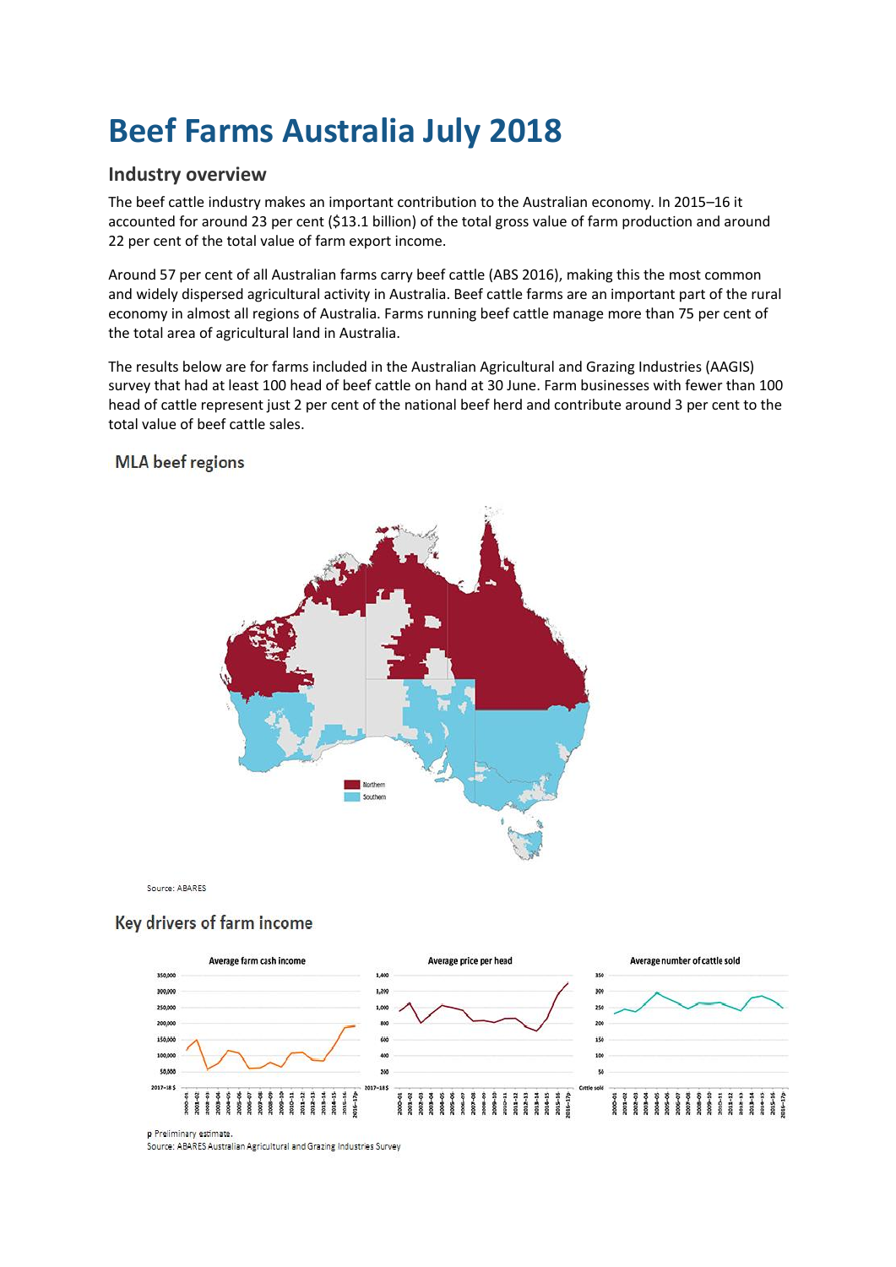# **Beef Farms Australia July 2018**

## **Industry overview**

The beef cattle industry makes an important contribution to the Australian economy. In 2015–16 it accounted for around 23 per cent (\$13.1 billion) of the total gross value of farm production and around 22 per cent of the total value of farm export income.

Around 57 per cent of all Australian farms carry beef cattle (ABS 2016), making this the most common and widely dispersed agricultural activity in Australia. Beef cattle farms are an important part of the rural economy in almost all regions of Australia. Farms running beef cattle manage more than 75 per cent of the total area of agricultural land in Australia.

The results below are for farms included in the Australian Agricultural and Grazing Industries (AAGIS) survey that had at least 100 head of beef cattle on hand at 30 June. Farm businesses with fewer than 100 head of cattle represent just 2 per cent of the national beef herd and contribute around 3 per cent to the total value of beef cattle sales.

### **MLA** beef regions

Source: ABARES

### Key drivers of farm income



**n** Preliminary estimate

Source: ABARES Australian Agricultural and Grazing Industries Survey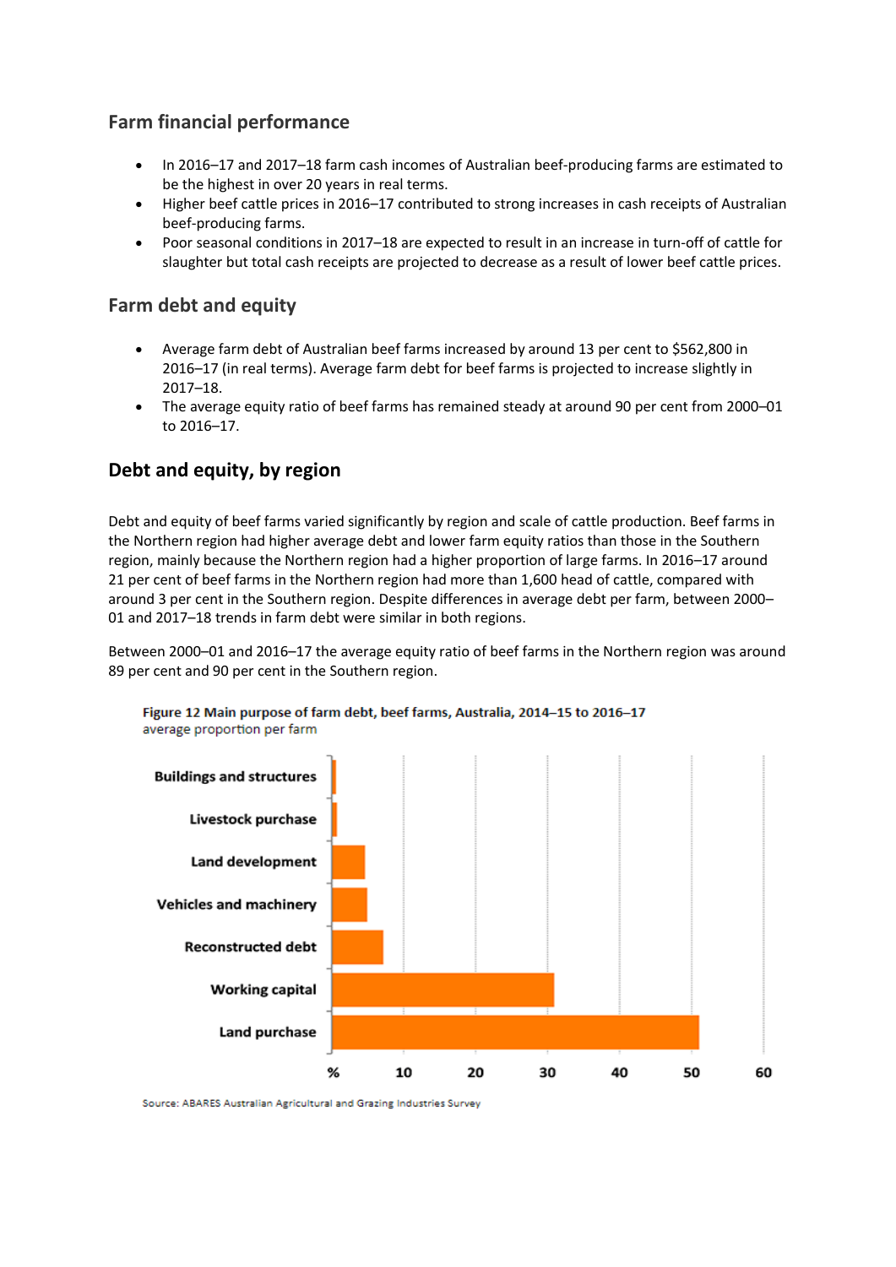# **Farm financial performance**

- In 2016–17 and 2017–18 farm cash incomes of Australian beef-producing farms are estimated to be the highest in over 20 years in real terms.
- Higher beef cattle prices in 2016–17 contributed to strong increases in cash receipts of Australian beef-producing farms.
- Poor seasonal conditions in 2017–18 are expected to result in an increase in turn-off of cattle for slaughter but total cash receipts are projected to decrease as a result of lower beef cattle prices.

# **Farm debt and equity**

- Average farm debt of Australian beef farms increased by around 13 per cent to \$562,800 in 2016–17 (in real terms). Average farm debt for beef farms is projected to increase slightly in 2017–18.
- The average equity ratio of beef farms has remained steady at around 90 per cent from 2000–01 to 2016–17.

# **Debt and equity, by region**

Debt and equity of beef farms varied significantly by region and scale of cattle production. Beef farms in the Northern region had higher average debt and lower farm equity ratios than those in the Southern region, mainly because the Northern region had a higher proportion of large farms. In 2016–17 around 21 per cent of beef farms in the Northern region had more than 1,600 head of cattle, compared with around 3 per cent in the Southern region. Despite differences in average debt per farm, between 2000– 01 and 2017–18 trends in farm debt were similar in both regions.

Between 2000–01 and 2016–17 the average equity ratio of beef farms in the Northern region was around 89 per cent and 90 per cent in the Southern region.



Figure 12 Main purpose of farm debt, beef farms, Australia, 2014-15 to 2016-17 average proportion per farm

Source: ABARES Australian Agricultural and Grazing Industries Survey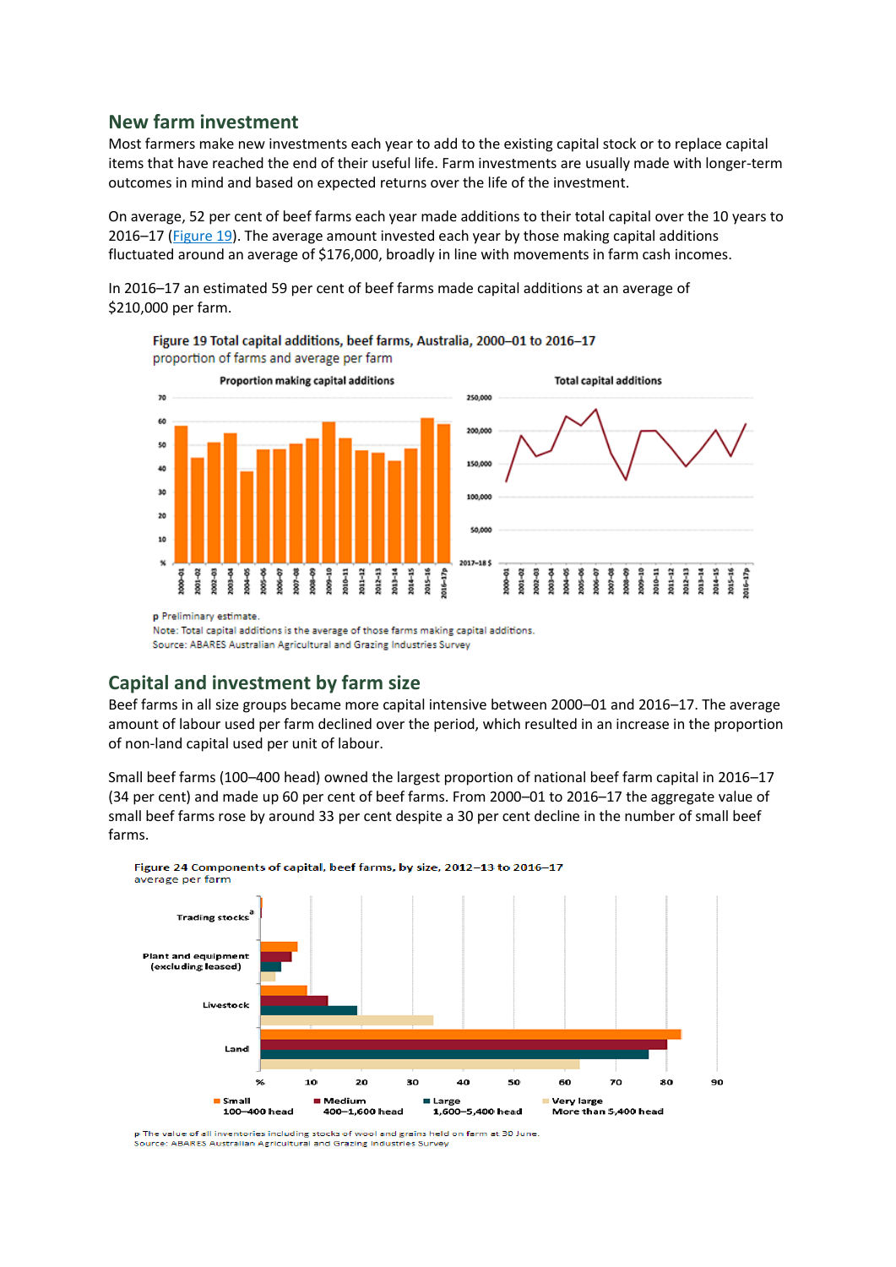#### **New farm investment**

Most farmers make new investments each year to add to the existing capital stock or to replace capital items that have reached the end of their useful life. Farm investments are usually made with longer-term outcomes in mind and based on expected returns over the life of the investment.

On average, 52 per cent of beef farms each year made additions to their total capital over the 10 years to 2016–17 [\(Figure 19\)](http://www.agriculture.gov.au/abares/research-topics/surveys/beef#fig-19). The average amount invested each year by those making capital additions fluctuated around an average of \$176,000, broadly in line with movements in farm cash incomes.

In 2016–17 an estimated 59 per cent of beef farms made capital additions at an average of \$210,000 per farm.



Figure 19 Total capital additions, beef farms, Australia, 2000-01 to 2016-17 proportion of farms and average per farm

Note: Total capital additions is the average of those farms making capital additions. Source: ABARES Australian Agricultural and Grazing Industries Survey

### **Capital and investment by farm size**

Beef farms in all size groups became more capital intensive between 2000–01 and 2016–17. The average amount of labour used per farm declined over the period, which resulted in an increase in the proportion of non-land capital used per unit of labour.

Small beef farms (100–400 head) owned the largest proportion of national beef farm capital in 2016–17 (34 per cent) and made up 60 per cent of beef farms. From 2000–01 to 2016–17 the aggregate value of small beef farms rose by around 33 per cent despite a 30 per cent decline in the number of small beef farms.



p The value of all inventories including stocks of wool and grains held on farm at 30 June .<br>Source: ABARES Australian Agricultural and Grazing Industries Survey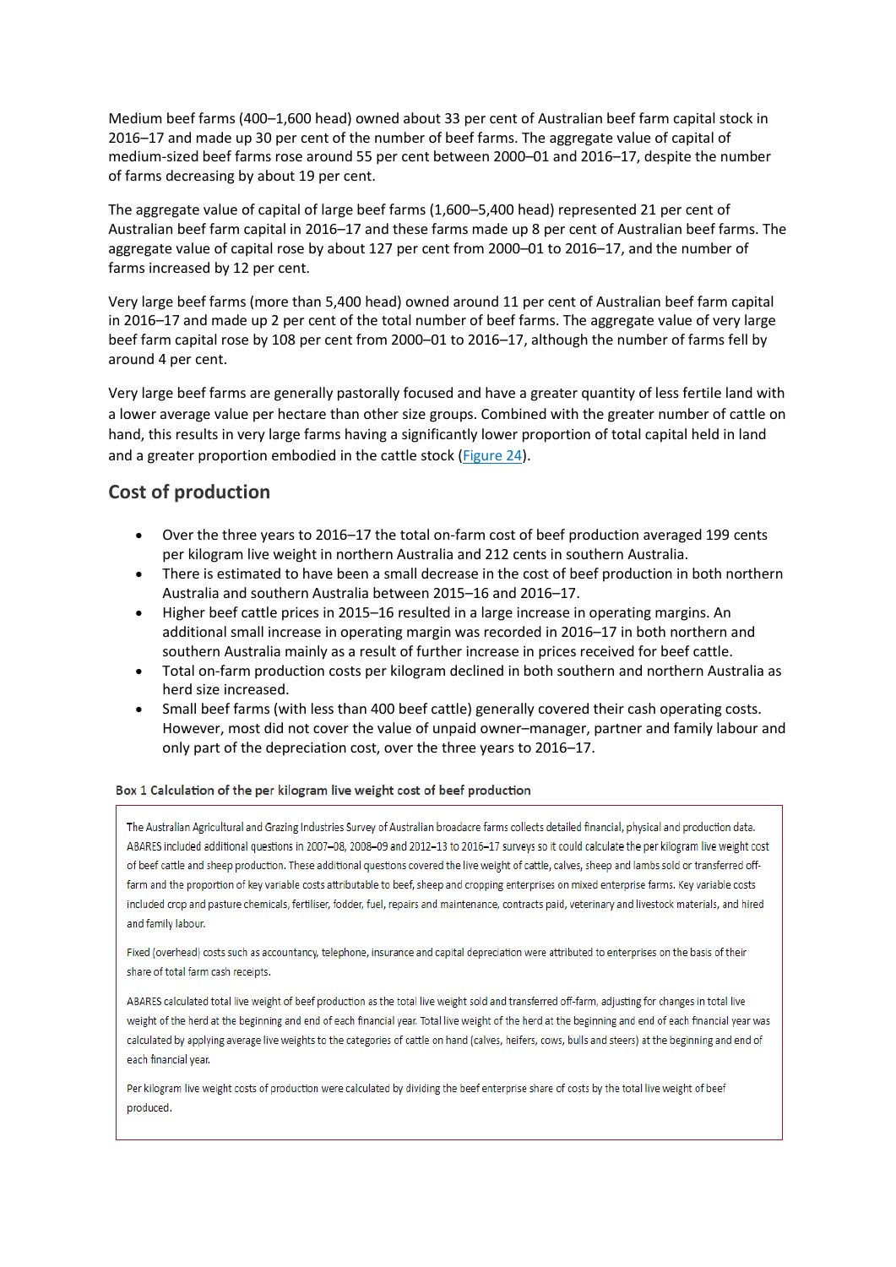Medium beef farms (400–1,600 head) owned about 33 per cent of Australian beef farm capital stock in 2016–17 and made up 30 per cent of the number of beef farms. The aggregate value of capital of medium-sized beef farms rose around 55 per cent between 2000–01 and 2016–17, despite the number of farms decreasing by about 19 per cent.

The aggregate value of capital of large beef farms (1,600–5,400 head) represented 21 per cent of Australian beef farm capital in 2016–17 and these farms made up 8 per cent of Australian beef farms. The aggregate value of capital rose by about 127 per cent from 2000–01 to 2016–17, and the number of farms increased by 12 per cent.

Very large beef farms (more than 5,400 head) owned around 11 per cent of Australian beef farm capital in 2016–17 and made up 2 per cent of the total number of beef farms. The aggregate value of very large beef farm capital rose by 108 per cent from 2000–01 to 2016–17, although the number of farms fell by around 4 per cent.

Very large beef farms are generally pastorally focused and have a greater quantity of less fertile land with a lower average value per hectare than other size groups. Combined with the greater number of cattle on hand, this results in very large farms having a significantly lower proportion of total capital held in land and a greater proportion embodied in the cattle stock [\(Figure 24\)](http://www.agriculture.gov.au/abares/research-topics/surveys/beef#fig-24).

# **Cost of production**

- Over the three years to 2016–17 the total on-farm cost of beef production averaged 199 cents per kilogram live weight in northern Australia and 212 cents in southern Australia.
- There is estimated to have been a small decrease in the cost of beef production in both northern Australia and southern Australia between 2015–16 and 2016–17.
- Higher beef cattle prices in 2015–16 resulted in a large increase in operating margins. An additional small increase in operating margin was recorded in 2016–17 in both northern and southern Australia mainly as a result of further increase in prices received for beef cattle.
- Total on-farm production costs per kilogram declined in both southern and northern Australia as herd size increased.
- Small beef farms (with less than 400 beef cattle) generally covered their cash operating costs. However, most did not cover the value of unpaid owner–manager, partner and family labour and only part of the depreciation cost, over the three years to 2016–17.

#### Box 1 Calculation of the per kilogram live weight cost of beef production

The Australian Agricultural and Grazing Industries Survey of Australian broadacre farms collects detailed financial, physical and production data. ABARES included additional questions in 2007-08, 2008-09 and 2012-13 to 2016-17 surveys so it could calculate the per kilogram live weight cost of beef cattle and sheep production. These additional questions covered the live weight of cattle, calves, sheep and lambs sold or transferred offfarm and the proportion of key variable costs attributable to beef, sheep and cropping enterprises on mixed enterprise farms. Key variable costs included crop and pasture chemicals, fertiliser, fodder, fuel, repairs and maintenance, contracts paid, veterinary and livestock materials, and hired and family labour.

Fixed (overhead) costs such as accountancy, telephone, insurance and capital depreciation were attributed to enterprises on the basis of their share of total farm cash receipts.

ABARES calculated total live weight of beef production as the total live weight sold and transferred off-farm, adjusting for changes in total live weight of the herd at the beginning and end of each financial year. Total live weight of the herd at the beginning and end of each financial year was calculated by applying average live weights to the categories of cattle on hand (calves, heifers, cows, bulls and steers) at the beginning and end of each financial year.

Per kilogram live weight costs of production were calculated by dividing the beef enterprise share of costs by the total live weight of beef produced.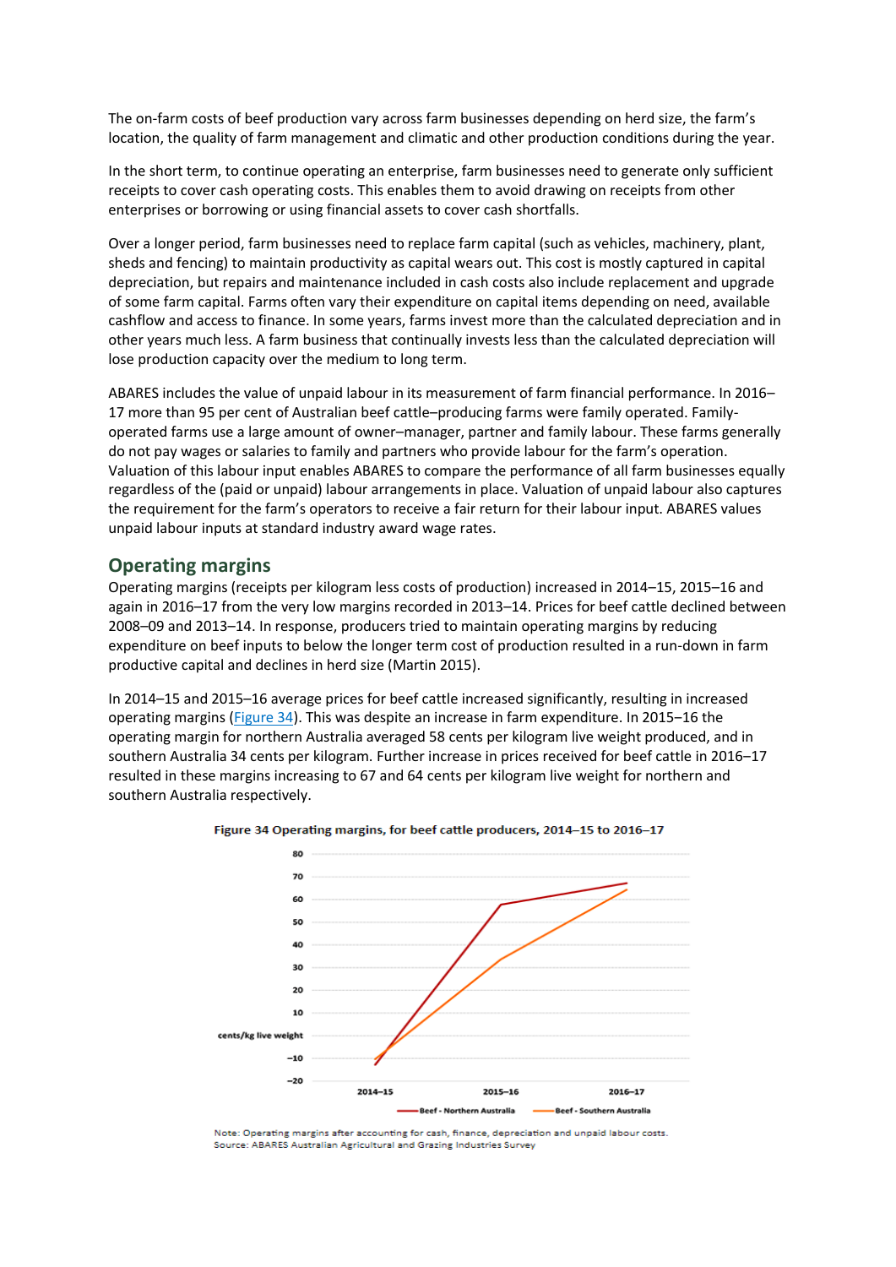The on-farm costs of beef production vary across farm businesses depending on herd size, the farm's location, the quality of farm management and climatic and other production conditions during the year.

In the short term, to continue operating an enterprise, farm businesses need to generate only sufficient receipts to cover cash operating costs. This enables them to avoid drawing on receipts from other enterprises or borrowing or using financial assets to cover cash shortfalls.

Over a longer period, farm businesses need to replace farm capital (such as vehicles, machinery, plant, sheds and fencing) to maintain productivity as capital wears out. This cost is mostly captured in capital depreciation, but repairs and maintenance included in cash costs also include replacement and upgrade of some farm capital. Farms often vary their expenditure on capital items depending on need, available cashflow and access to finance. In some years, farms invest more than the calculated depreciation and in other years much less. A farm business that continually invests less than the calculated depreciation will lose production capacity over the medium to long term.

ABARES includes the value of unpaid labour in its measurement of farm financial performance. In 2016– 17 more than 95 per cent of Australian beef cattle–producing farms were family operated. Familyoperated farms use a large amount of owner–manager, partner and family labour. These farms generally do not pay wages or salaries to family and partners who provide labour for the farm's operation. Valuation of this labour input enables ABARES to compare the performance of all farm businesses equally regardless of the (paid or unpaid) labour arrangements in place. Valuation of unpaid labour also captures the requirement for the farm's operators to receive a fair return for their labour input. ABARES values unpaid labour inputs at standard industry award wage rates.

#### **Operating margins**

Operating margins (receipts per kilogram less costs of production) increased in 2014–15, 2015–16 and again in 2016–17 from the very low margins recorded in 2013–14. Prices for beef cattle declined between 2008–09 and 2013–14. In response, producers tried to maintain operating margins by reducing expenditure on beef inputs to below the longer term cost of production resulted in a run-down in farm productive capital and declines in herd size (Martin 2015).

In 2014–15 and 2015–16 average prices for beef cattle increased significantly, resulting in increased operating margins [\(Figure 34](http://www.agriculture.gov.au/abares/research-topics/surveys/beef#figure-34)). This was despite an increase in farm expenditure. In 2015–16 the operating margin for northern Australia averaged 58 cents per kilogram live weight produced, and in southern Australia 34 cents per kilogram. Further increase in prices received for beef cattle in 2016–17 resulted in these margins increasing to 67 and 64 cents per kilogram live weight for northern and southern Australia respectively.





Note: Operating margins after accounting for cash, finance, depreciation and unpaid labour costs. Source: ABARES Australian Agricultural and Grazing Industries Survey